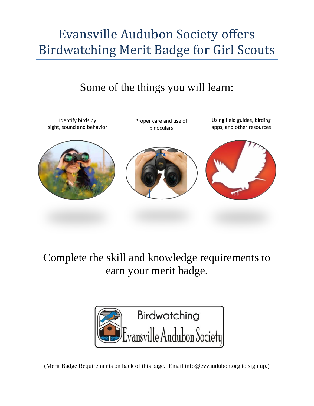## Evansville Audubon Society offers Birdwatching Merit Badge for Girl Scouts

## Some of the things you will learn:



Complete the skill and knowledge requirements to earn your merit badge.



(Merit Badge Requirements on back of this page. Email info@evvaudubon.org to sign up.)